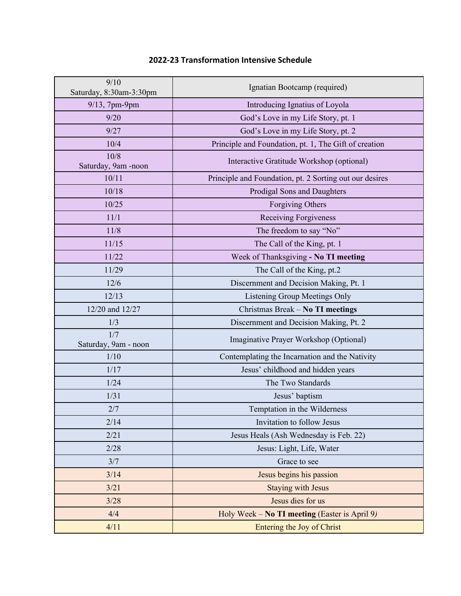| 9/10<br>Saturday, 8:30am-3:30pm | Ignatian Bootcamp (required)                            |
|---------------------------------|---------------------------------------------------------|
| 9/13, 7pm-9pm                   | Introducing Ignatius of Loyola                          |
| 9/20                            | God's Love in my Life Story, pt. 1                      |
| 9/27                            | God's Love in my Life Story, pt. 2                      |
| 10/4                            | Principle and Foundation, pt. 1, The Gift of creation   |
| 10/8<br>Saturday, 9am -noon     | Interactive Gratitude Workshop (optional)               |
| 10/11                           | Principle and Foundation, pt. 2 Sorting out our desires |
| 10/18                           | Prodigal Sons and Daughters                             |
| 10/25                           | Forgiving Others                                        |
| 11/1                            | <b>Receiving Forgiveness</b>                            |
| 11/8                            | The freedom to say "No"                                 |
| 11/15                           | The Call of the King, pt. 1                             |
| 11/22                           | Week of Thanksgiving - No TI meeting                    |
| 11/29                           | The Call of the King, pt.2                              |
| 12/6                            | Discernment and Decision Making, Pt. 1                  |
| 12/13                           | Listening Group Meetings Only                           |
| 12/20 and 12/27                 | Christmas Break - No TI meetings                        |
| 1/3                             | Discernment and Decision Making, Pt. 2                  |
| 1/7<br>Saturday, 9am - noon     | Imaginative Prayer Workshop (Optional)                  |
| 1/10                            | Contemplating the Incarnation and the Nativity          |
| 1/17                            | Jesus' childhood and hidden years                       |
| 1/24                            | The Two Standards                                       |
| 1/31                            | Jesus' baptism                                          |
| 2/7                             | Temptation in the Wilderness                            |
| 2/14                            | Invitation to follow Jesus                              |
| 2/21                            | Jesus Heals (Ash Wednesday is Feb. 22)                  |
| 2/28                            | Jesus: Light, Life, Water                               |
| 3/7                             | Grace to see                                            |
| 3/14                            | Jesus begins his passion                                |
| 3/21                            | <b>Staying with Jesus</b>                               |
| 3/28                            | Jesus dies for us                                       |
| 4/4                             | Holy Week – No TI meeting (Easter is April 9)           |
| 4/11                            | Entering the Joy of Christ                              |

## **2022-23 Transformation Intensive Schedule**